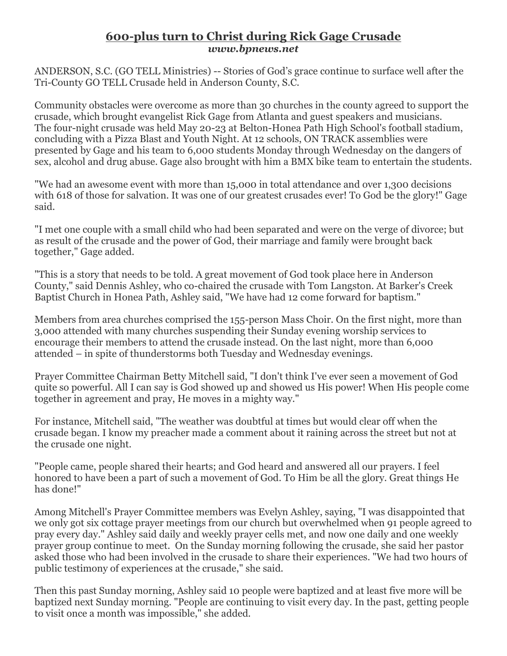## **600-plus turn to Christ during Rick Gage Crusade** *www.bpnews.net*

ANDERSON, S.C. (GO TELL Ministries) -- Stories of God's grace continue to surface well after the Tri-County GO TELL Crusade held in Anderson County, S.C.

Community obstacles were overcome as more than 30 churches in the county agreed to support the crusade, which brought evangelist Rick Gage from Atlanta and guest speakers and musicians. The four-night crusade was held May 20-23 at Belton-Honea Path High School's football stadium, concluding with a Pizza Blast and Youth Night. At 12 schools, ON TRACK assemblies were presented by Gage and his team to 6,000 students Monday through Wednesday on the dangers of sex, alcohol and drug abuse. Gage also brought with him a BMX bike team to entertain the students.

"We had an awesome event with more than 15,000 in total attendance and over 1,300 decisions with 618 of those for salvation. It was one of our greatest crusades ever! To God be the glory!" Gage said.

"I met one couple with a small child who had been separated and were on the verge of divorce; but as result of the crusade and the power of God, their marriage and family were brought back together," Gage added.

"This is a story that needs to be told. A great movement of God took place here in Anderson County," said Dennis Ashley, who co-chaired the crusade with Tom Langston. At Barker's Creek Baptist Church in Honea Path, Ashley said, "We have had 12 come forward for baptism."

Members from area churches comprised the 155-person Mass Choir. On the first night, more than 3,000 attended with many churches suspending their Sunday evening worship services to encourage their members to attend the crusade instead. On the last night, more than 6,000 attended – in spite of thunderstorms both Tuesday and Wednesday evenings.

Prayer Committee Chairman Betty Mitchell said, "I don't think I've ever seen a movement of God quite so powerful. All I can say is God showed up and showed us His power! When His people come together in agreement and pray, He moves in a mighty way."

For instance, Mitchell said, "The weather was doubtful at times but would clear off when the crusade began. I know my preacher made a comment about it raining across the street but not at the crusade one night.

"People came, people shared their hearts; and God heard and answered all our prayers. I feel honored to have been a part of such a movement of God. To Him be all the glory. Great things He has done!"

Among Mitchell's Prayer Committee members was Evelyn Ashley, saying, "I was disappointed that we only got six cottage prayer meetings from our church but overwhelmed when 91 people agreed to pray every day." Ashley said daily and weekly prayer cells met, and now one daily and one weekly prayer group continue to meet. On the Sunday morning following the crusade, she said her pastor asked those who had been involved in the crusade to share their experiences. "We had two hours of public testimony of experiences at the crusade," she said.

Then this past Sunday morning, Ashley said 10 people were baptized and at least five more will be baptized next Sunday morning. "People are continuing to visit every day. In the past, getting people to visit once a month was impossible," she added.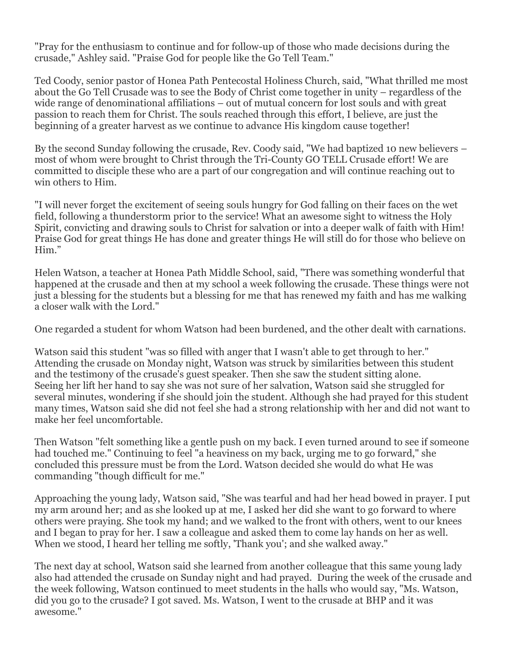"Pray for the enthusiasm to continue and for follow-up of those who made decisions during the crusade," Ashley said. "Praise God for people like the Go Tell Team."

Ted Coody, senior pastor of Honea Path Pentecostal Holiness Church, said, "What thrilled me most about the Go Tell Crusade was to see the Body of Christ come together in unity – regardless of the wide range of denominational affiliations – out of mutual concern for lost souls and with great passion to reach them for Christ. The souls reached through this effort, I believe, are just the beginning of a greater harvest as we continue to advance His kingdom cause together!

By the second Sunday following the crusade, Rev. Coody said, "We had baptized 10 new believers – most of whom were brought to Christ through the Tri-County GO TELL Crusade effort! We are committed to disciple these who are a part of our congregation and will continue reaching out to win others to Him.

"I will never forget the excitement of seeing souls hungry for God falling on their faces on the wet field, following a thunderstorm prior to the service! What an awesome sight to witness the Holy Spirit, convicting and drawing souls to Christ for salvation or into a deeper walk of faith with Him! Praise God for great things He has done and greater things He will still do for those who believe on Him."

Helen Watson, a teacher at Honea Path Middle School, said, "There was something wonderful that happened at the crusade and then at my school a week following the crusade. These things were not just a blessing for the students but a blessing for me that has renewed my faith and has me walking a closer walk with the Lord."

One regarded a student for whom Watson had been burdened, and the other dealt with carnations.

Watson said this student "was so filled with anger that I wasn't able to get through to her." Attending the crusade on Monday night, Watson was struck by similarities between this student and the testimony of the crusade's guest speaker. Then she saw the student sitting alone. Seeing her lift her hand to say she was not sure of her salvation, Watson said she struggled for several minutes, wondering if she should join the student. Although she had prayed for this student many times, Watson said she did not feel she had a strong relationship with her and did not want to make her feel uncomfortable.

Then Watson "felt something like a gentle push on my back. I even turned around to see if someone had touched me." Continuing to feel "a heaviness on my back, urging me to go forward," she concluded this pressure must be from the Lord. Watson decided she would do what He was commanding "though difficult for me."

Approaching the young lady, Watson said, "She was tearful and had her head bowed in prayer. I put my arm around her; and as she looked up at me, I asked her did she want to go forward to where others were praying. She took my hand; and we walked to the front with others, went to our knees and I began to pray for her. I saw a colleague and asked them to come lay hands on her as well. When we stood, I heard her telling me softly, 'Thank you'; and she walked away."

The next day at school, Watson said she learned from another colleague that this same young lady also had attended the crusade on Sunday night and had prayed. During the week of the crusade and the week following, Watson continued to meet students in the halls who would say, "Ms. Watson, did you go to the crusade? I got saved. Ms. Watson, I went to the crusade at BHP and it was awesome."